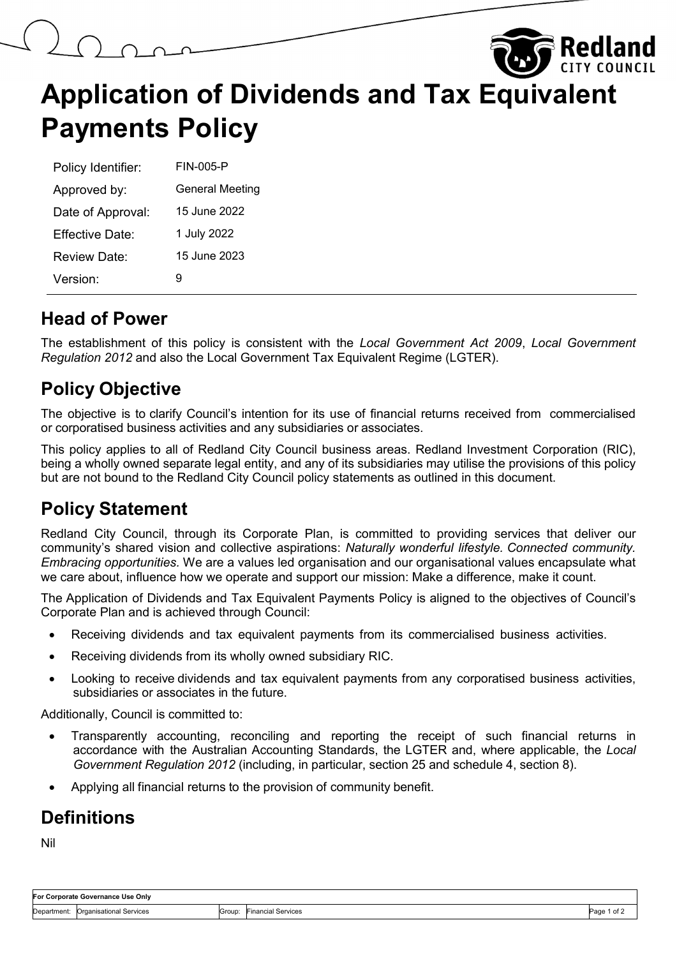# **Rediand Application of Dividends and Tax Equivalent Payments Policy**

| Policy Identifier: | FIN-005-P              |
|--------------------|------------------------|
| Approved by:       | <b>General Meeting</b> |
| Date of Approval:  | 15 June 2022           |
| Effective Date:    | 1 July 2022            |
| Review Date:       | 15 June 2023           |
| Version:           | g                      |

#### **Head of Power**

The establishment of this policy is consistent with the *Local Government Act 2009*, *Local Government Regulation 2012* and also the Local Government Tax Equivalent Regime (LGTER).

# **Policy Objective**

The objective is to clarify Council's intention for its use of financial returns received from commercialised or corporatised business activities and any subsidiaries or associates.

This policy applies to all of Redland City Council business areas. Redland Investment Corporation (RIC), being a wholly owned separate legal entity, and any of its subsidiaries may utilise the provisions of this policy but are not bound to the Redland City Council policy statements as outlined in this document.

# **Policy Statement**

Redland City Council, through its Corporate Plan, is committed to providing services that deliver our community's shared vision and collective aspirations: *Naturally wonderful lifestyle. Connected community. Embracing opportunities.* We are a values led organisation and our organisational values encapsulate what we care about, influence how we operate and support our mission: Make a difference, make it count.

The Application of Dividends and Tax Equivalent Payments Policy is aligned to the objectives of Council's Corporate Plan and is achieved through Council:

- Receiving dividends and tax equivalent payments from its commercialised business activities.
- Receiving dividends from its wholly owned subsidiary RIC.
- Looking to receive dividends and tax equivalent payments from any corporatised business activities, subsidiaries or associates in the future.

Additionally, Council is committed to:

- Transparently accounting, reconciling and reporting the receipt of such financial returns in accordance with the Australian Accounting Standards, the LGTER and, where applicable, the *Local Government Regulation 2012* (including, in particular, section 25 and schedule 4, section 8).
- Applying all financial returns to the provision of community benefit.

#### **Definitions**

Nil

| For Corporate Governance Use Only |                                     |        |                    |             |  |  |  |
|-----------------------------------|-------------------------------------|--------|--------------------|-------------|--|--|--|
|                                   | Department: Organisational Services | Group: | Financial Services | Page 1 of 2 |  |  |  |